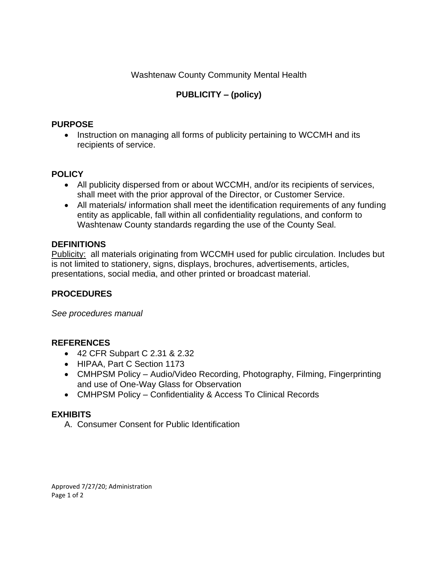Washtenaw County Community Mental Health

# **PUBLICITY – (policy)**

### **PURPOSE**

• Instruction on managing all forms of publicity pertaining to WCCMH and its recipients of service.

## **POLICY**

- All publicity dispersed from or about WCCMH, and/or its recipients of services, shall meet with the prior approval of the Director, or Customer Service.
- All materials/ information shall meet the identification requirements of any funding entity as applicable, fall within all confidentiality regulations, and conform to Washtenaw County standards regarding the use of the County Seal.

## **DEFINITIONS**

Publicity: all materials originating from WCCMH used for public circulation. Includes but is not limited to stationery, signs, displays, brochures, advertisements, articles, presentations, social media, and other printed or broadcast material.

## **PROCEDURES**

*See procedures manual*

## **REFERENCES**

- 42 CFR Subpart C 2.31 & 2.32
- HIPAA, Part C Section 1173
- CMHPSM Policy Audio/Video Recording, Photography, Filming, Fingerprinting and use of One-Way Glass for Observation
- CMHPSM Policy Confidentiality & Access To Clinical Records

## **EXHIBITS**

A. Consumer Consent for Public Identification

Approved 7/27/20; Administration Page 1 of 2